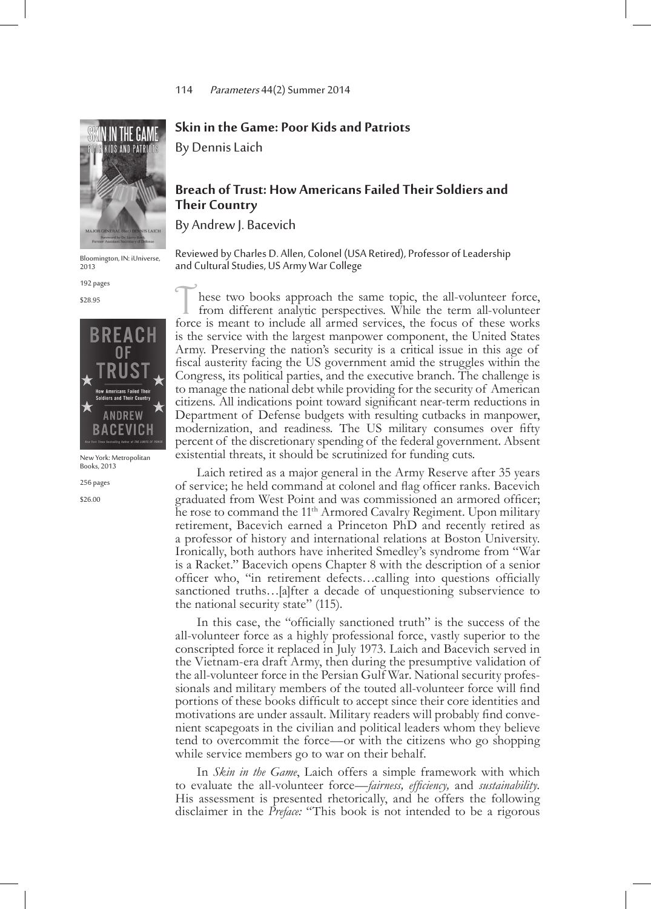

Bloomington, IN: iUniverse, 2013

192 pages

\$28.95



New York: Metropolitan Books, 2013

256 pages

\$26.00

## **Skin in the Game: Poor Kids and Patriots**

By Dennis Laich

## **Breach of Trust: How Americans Failed Their Soldiers and Their Country**

By Andrew J. Bacevich

Reviewed by Charles D. Allen, Colonel (USA Retired), Professor of Leadership and Cultural Studies, US Army War College

These two books approach the same topic, the all-volunteer force, from different analytic perspectives. While the term all-volunteer force is meant to include all armed services, the focus of these works is the service with the largest manpower component, the United States Army. Preserving the nation's security is a critical issue in this age of fiscal austerity facing the US government amid the struggles within the Congress, its political parties, and the executive branch. The challenge is to manage the national debt while providing for the security of American citizens. All indications point toward significant near-term reductions in Department of Defense budgets with resulting cutbacks in manpower, modernization, and readiness. The US military consumes over fifty percent of the discretionary spending of the federal government. Absent existential threats, it should be scrutinized for funding cuts.

Laich retired as a major general in the Army Reserve after 35 years of service; he held command at colonel and flag officer ranks. Bacevich graduated from West Point and was commissioned an armored officer; he rose to command the 11<sup>th</sup> Armored Cavalry Regiment. Upon military retirement, Bacevich earned a Princeton PhD and recently retired as a professor of history and international relations at Boston University. Ironically, both authors have inherited Smedley's syndrome from "War is a Racket." Bacevich opens Chapter 8 with the description of a senior officer who, "in retirement defects…calling into questions officially sanctioned truths…[a]fter a decade of unquestioning subservience to the national security state" (115).

In this case, the "officially sanctioned truth" is the success of the all-volunteer force as a highly professional force, vastly superior to the conscripted force it replaced in July 1973. Laich and Bacevich served in the Vietnam-era draft Army, then during the presumptive validation of the all-volunteer force in the Persian Gulf War. National security profes- sionals and military members of the touted all-volunteer force will find portions of these books difficult to accept since their core identities and motivations are under assault. Military readers will probably find convenient scapegoats in the civilian and political leaders whom they believe tend to overcommit the force—or with the citizens who go shopping while service members go to war on their behalf.

In *Skin in the Game*, Laich offers a simple framework with which to evaluate the all-volunteer force—*fairness, efficiency,* and *sustainability.* His assessment is presented rhetorically, and he offers the following disclaimer in the *Preface:* "This book is not intended to be a rigorous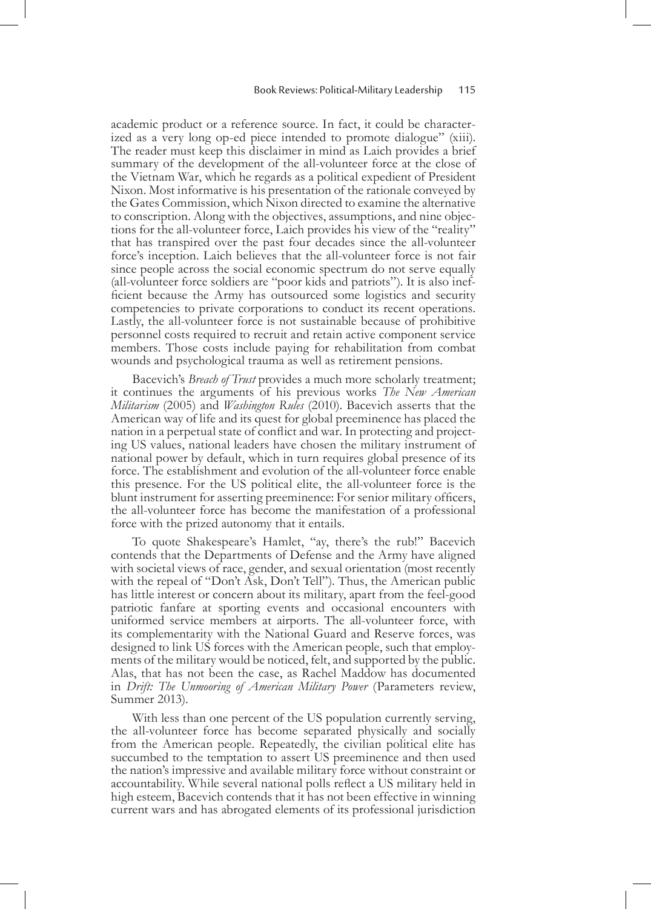academic product or a reference source. In fact, it could be characterized as a very long op-ed piece intended to promote dialogue" (xiii). The reader must keep this disclaimer in mind as Laich provides a brief summary of the development of the all-volunteer force at the close of the Vietnam War, which he regards as a political expedient of President Nixon. Most informative is his presentation of the rationale conveyed by the Gates Commission, which Nixon directed to examine the alternative to conscription. Along with the objectives, assumptions, and nine objections for the all-volunteer force, Laich provides his view of the "reality" that has transpired over the past four decades since the all-volunteer force's inception. Laich believes that the all-volunteer force is not fair since people across the social economic spectrum do not serve equally (all-volunteer force soldiers are "poor kids and patriots"). It is also inefficient because the Army has outsourced some logistics and security competencies to private corporations to conduct its recent operations. Lastly, the all-volunteer force is not sustainable because of prohibitive personnel costs required to recruit and retain active component service members. Those costs include paying for rehabilitation from combat wounds and psychological trauma as well as retirement pensions.

Bacevich's *Breach of Trust* provides a much more scholarly treatment; it continues the arguments of his previous works *The New American Militarism* (2005) and *Washington Rules* (2010). Bacevich asserts that the American way of life and its quest for global preeminence has placed the nation in a perpetual state of conflict and war. In protecting and projecting US values, national leaders have chosen the military instrument of national power by default, which in turn requires global presence of its force. The establishment and evolution of the all-volunteer force enable this presence. For the US political elite, the all-volunteer force is the blunt instrument for asserting preeminence: For senior military officers, the all-volunteer force has become the manifestation of a professional force with the prized autonomy that it entails.

To quote Shakespeare's Hamlet, "ay, there's the rub!" Bacevich contends that the Departments of Defense and the Army have aligned with societal views of race, gender, and sexual orientation (most recently with the repeal of "Don't Ask, Don't Tell"). Thus, the American public has little interest or concern about its military, apart from the feel-good patriotic fanfare at sporting events and occasional encounters with uniformed service members at airports. The all-volunteer force, with its complementarity with the National Guard and Reserve forces, was designed to link US forces with the American people, such that employments of the military would be noticed, felt, and supported by the public. Alas, that has not been the case, as Rachel Maddow has documented in *Drift: The Unmooring of American Military Power* (Parameters review, Summer 2013).

With less than one percent of the US population currently serving, the all-volunteer force has become separated physically and socially from the American people. Repeatedly, the civilian political elite has succumbed to the temptation to assert US preeminence and then used the nation's impressive and available military force without constraint or accountability. While several national polls reflect a US military held in high esteem, Bacevich contends that it has not been effective in winning current wars and has abrogated elements of its professional jurisdiction